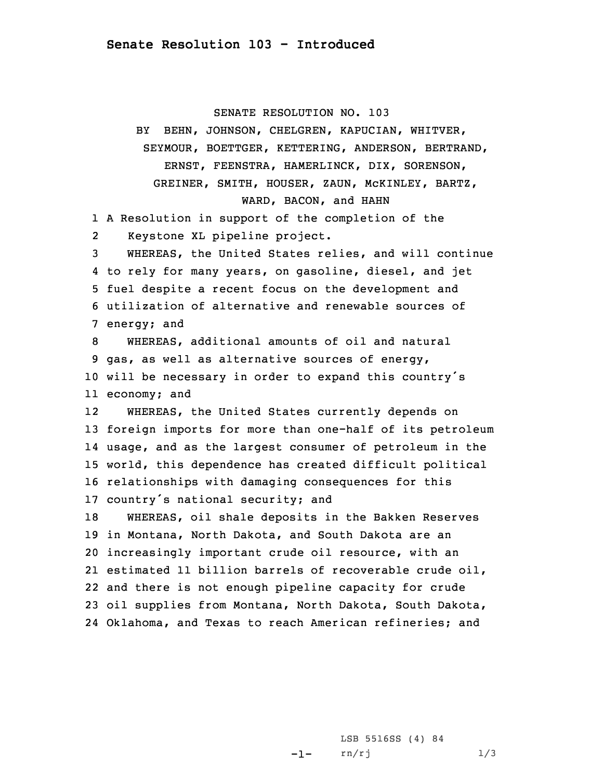SENATE RESOLUTION NO. 103

BY BEHN, JOHNSON, CHELGREN, KAPUCIAN, WHITVER, SEYMOUR, BOETTGER, KETTERING, ANDERSON, BERTRAND, ERNST, FEENSTRA, HAMERLINCK, DIX, SORENSON, GREINER, SMITH, HOUSER, ZAUN, McKINLEY, BARTZ, WARD, BACON, and HAHN <sup>A</sup> Resolution in support of the completion of the 2 Keystone XL pipeline project. WHEREAS, the United States relies, and will continue to rely for many years, on gasoline, diesel, and jet fuel despite <sup>a</sup> recent focus on the development and utilization of alternative and renewable sources of energy; and WHEREAS, additional amounts of oil and natural gas, as well as alternative sources of energy, will be necessary in order to expand this country's economy; and 12 WHEREAS, the United States currently depends on foreign imports for more than one-half of its petroleum usage, and as the largest consumer of petroleum in the world, this dependence has created difficult political relationships with damaging consequences for this country's national security; and WHEREAS, oil shale deposits in the Bakken Reserves in Montana, North Dakota, and South Dakota are an increasingly important crude oil resource, with an estimated 11 billion barrels of recoverable crude oil, and there is not enough pipeline capacity for crude oil supplies from Montana, North Dakota, South Dakota,

24 Oklahoma, and Texas to reach American refineries; and

-1-LSB 5516SS (4) 84 rn/rj 1/3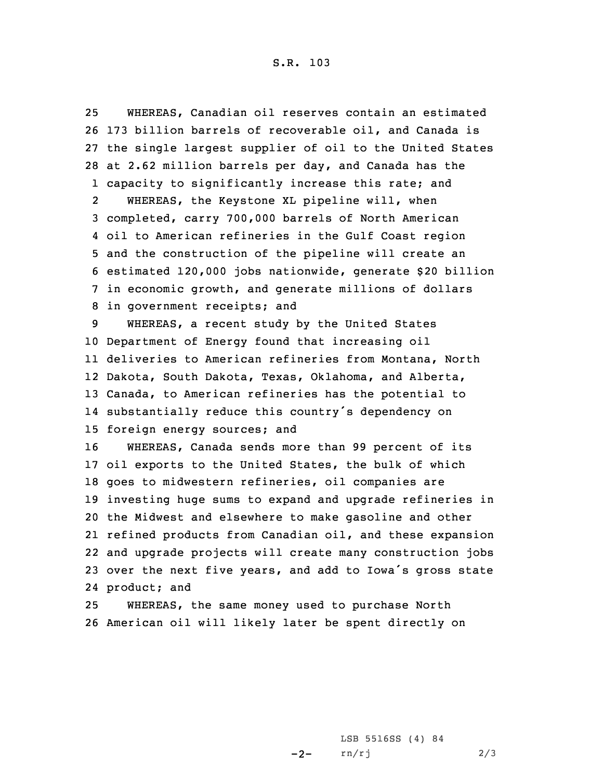WHEREAS, Canadian oil reserves contain an estimated 173 billion barrels of recoverable oil, and Canada is the single largest supplier of oil to the United States at 2.62 million barrels per day, and Canada has the capacity to significantly increase this rate; and 2WHEREAS, the Keystone XL pipeline will, when completed, carry 700,000 barrels of North American oil to American refineries in the Gulf Coast region and the construction of the pipeline will create an estimated 120,000 jobs nationwide, generate \$20 billion in economic growth, and generate millions of dollars in government receipts; and WHEREAS, <sup>a</sup> recent study by the United States Department of Energy found that increasing oil deliveries to American refineries from Montana, North Dakota, South Dakota, Texas, Oklahoma, and Alberta, Canada, to American refineries has the potential to substantially reduce this country's dependency on foreign energy sources; and WHEREAS, Canada sends more than 99 percent of its oil exports to the United States, the bulk of which goes to midwestern refineries, oil companies are investing huge sums to expand and upgrade refineries in the Midwest and elsewhere to make gasoline and other refined products from Canadian oil, and these expansion and upgrade projects will create many construction jobs over the next five years, and add to Iowa's gross state product; and WHEREAS, the same money used to purchase North

26 American oil will likely later be spent directly on

 $-2-$ LSB 5516SS (4) 84 rn/rj 2/3